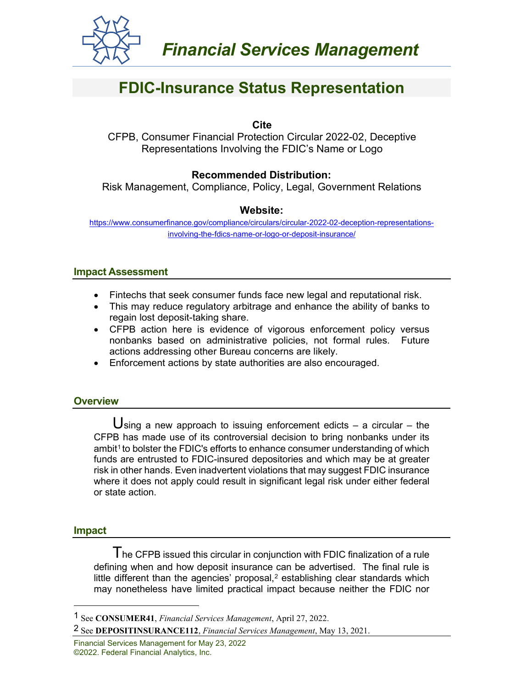

# **FDIC-Insurance Status Representation**

## **Cite**

CFPB, Consumer Financial Protection Circular 2022-02, Deceptive Representations Involving the FDIC's Name or Logo

# **Recommended Distribution:**

Risk Management, Compliance, Policy, Legal, Government Relations

# **Website:**

[https://www.consumerfinance.gov/compliance/circulars/circular-2022-02-deception-representations](https://www.consumerfinance.gov/compliance/circulars/circular-2022-02-deception-representations-involving-the-fdics-name-or-logo-or-deposit-insurance/)[involving-the-fdics-name-or-logo-or-deposit-insurance/](https://www.consumerfinance.gov/compliance/circulars/circular-2022-02-deception-representations-involving-the-fdics-name-or-logo-or-deposit-insurance/)

## **Impact Assessment**

- Fintechs that seek consumer funds face new legal and reputational risk.
- This may reduce regulatory arbitrage and enhance the ability of banks to regain lost deposit-taking share.
- CFPB action here is evidence of vigorous enforcement policy versus nonbanks based on administrative policies, not formal rules. Future actions addressing other Bureau concerns are likely.
- Enforcement actions by state authorities are also encouraged.

# **Overview**

**sing a new approach to issuing enforcement edicts – a circular – the** CFPB has made use of its controversial decision to bring nonbanks under its ambit<sup>[1](#page-0-0)</sup> to bolster the FDIC's efforts to enhance consumer understanding of which funds are entrusted to FDIC-insured depositories and which may be at greater risk in other hands. Even inadvertent violations that may suggest FDIC insurance where it does not apply could result in significant legal risk under either federal or state action.

#### **Impact**

The CFPB issued this circular in conjunction with FDIC finalization of a rule defining when and how deposit insurance can be advertised. The final rule is little different than the agencies' proposal, $2$  establishing clear standards which may nonetheless have limited practical impact because neither the FDIC nor

Financial Services Management for May 23, 2022 ©2022. Federal Financial Analytics, Inc.

<span id="page-0-0"></span><sup>1</sup> See **CONSUMER41**, *Financial Services Management*, April 27, 2022.

<span id="page-0-1"></span><sup>2</sup> See **DEPOSITINSURANCE112**, *Financial Services Management*, May 13, 2021.